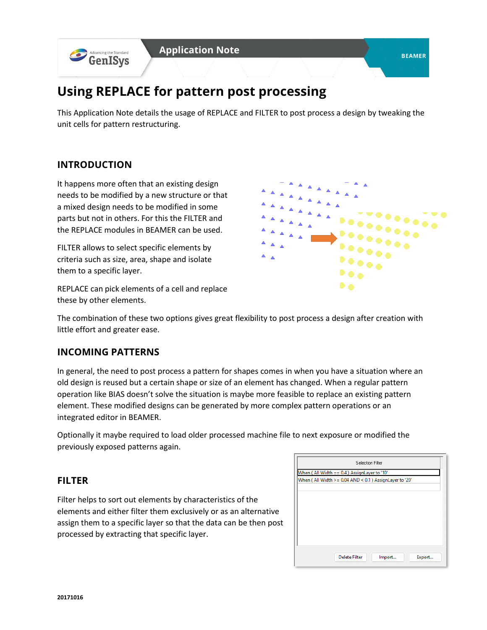

# **Using REPLACE for pattern post processing**

This Application Note details the usage of REPLACE and FILTER to post process a design by tweaking the unit cells for pattern restructuring.

## **INTRODUCTION**

It happens more often that an existing design needs to be modified by a new structure or that a mixed design needs to be modified in some parts but not in others. For this the FILTER and the REPLACE modules in BEAMER can be used.

FILTER allows to select specific elements by criteria such as size, area, shape and isolate them to a specific layer.

D o

REPLACE can pick elements of a cell and replace these by other elements.

The combination of these two options gives great flexibility to post process a design after creation with little effort and greater ease.

## **INCOMING PATTERNS**

In general, the need to post process a pattern for shapes comes in when you have a situation where an old design is reused but a certain shape or size of an element has changed. When a regular pattern operation like BIAS doesn't solve the situation is maybe more feasible to replace an existing pattern element. These modified designs can be generated by more complex pattern operations or an integrated editor in BEAMER.

Optionally it maybe required to load older processed machine file to next exposure or modified the previously exposed patterns again.

## **FILTER**

Filter helps to sort out elements by characteristics of the elements and either filter them exclusively or as an alternative assign them to a specific layer so that the data can be then post processed by extracting that specific layer.

| When (All Width $>= 0.04$ AND < 0.1 ) AssignLayer to '20' | When (All Width == 0.4) AssignLayer to '10' |  |
|-----------------------------------------------------------|---------------------------------------------|--|
|                                                           |                                             |  |
|                                                           |                                             |  |
|                                                           |                                             |  |
|                                                           |                                             |  |
|                                                           |                                             |  |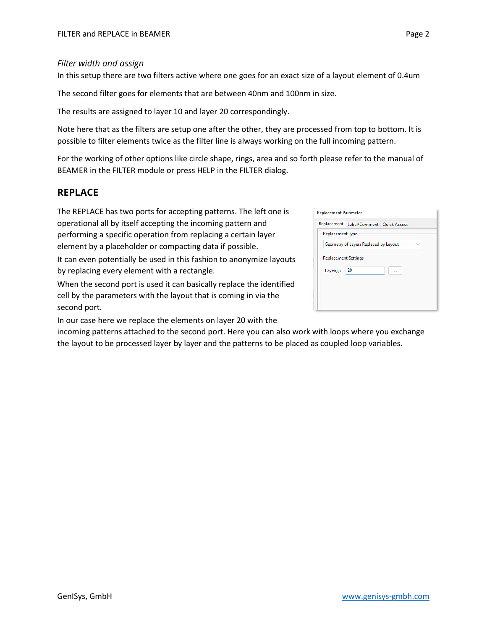#### *Filter width and assign*

In this setup there are two filters active where one goes for an exact size of a layout element of 0.4um

The second filter goes for elements that are between 40nm and 100nm in size.

The results are assigned to layer 10 and layer 20 correspondingly.

Note here that as the filters are setup one after the other, they are processed from top to bottom. It is possible to filter elements twice as the filter line is always working on the full incoming pattern.

For the working of other options like circle shape, rings, area and so forth please refer to the manual of BEAMER in the FILTER module or press HELP in the FILTER dialog.

#### **REPLACE**

The REPLACE has two ports for accepting patterns. The left one is operational all by itself accepting the incoming pattern and performing a specific operation from replacing a certain layer element by a placeholder or compacting data if possible.

It can even potentially be used in this fashion to anonymize layouts by replacing every element with a rectangle.

When the second port is used it can basically replace the identified cell by the parameters with the layout that is coming in via the second port.

In our case here we replace the elements on layer 20 with the

incoming patterns attached to the second port. Here you can also work with loops where you exchange the layout to be processed layer by layer and the patterns to be placed as coupled loop variables.

| <b>Replacement Parameter</b> |                                       |  |
|------------------------------|---------------------------------------|--|
| Replacement                  | Label/Comment Quick Access            |  |
| Replacement Type             |                                       |  |
|                              | Geometry of Layers Replaced by Layout |  |
| <b>Replacement Settings</b>  |                                       |  |
| Layer(s):                    | 20                                    |  |
|                              |                                       |  |
|                              |                                       |  |
|                              |                                       |  |
|                              |                                       |  |